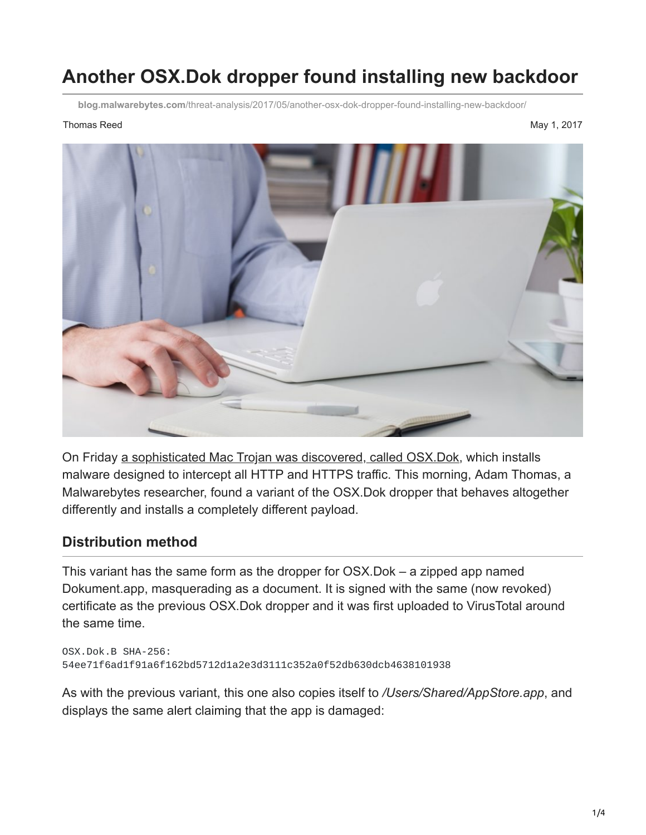# **Another OSX.Dok dropper found installing new backdoor**

**blog.malwarebytes.com**[/threat-analysis/2017/05/another-osx-dok-dropper-found-installing-new-backdoor/](https://blog.malwarebytes.com/threat-analysis/2017/05/another-osx-dok-dropper-found-installing-new-backdoor/)

#### Thomas Reed May 1, 2017



On Friday [a sophisticated Mac Trojan was discovered, called OSX.Dok,](https://blog.malwarebytes.com/threat-analysis/2017/04/new-osx-dok-malware-intercepts-web-traffic/) which installs malware designed to intercept all HTTP and HTTPS traffic. This morning, Adam Thomas, a Malwarebytes researcher, found a variant of the OSX.Dok dropper that behaves altogether differently and installs a completely different payload.

### **Distribution method**

This variant has the same form as the dropper for OSX.Dok – a zipped app named Dokument.app, masquerading as a document. It is signed with the same (now revoked) certificate as the previous OSX.Dok dropper and it was first uploaded to VirusTotal around the same time.

```
OSX.Dok.B SHA-256:
54ee71f6ad1f91a6f162bd5712d1a2e3d3111c352a0f52db630dcb4638101938
```
As with the previous variant, this one also copies itself to */Users/Shared/AppStore.app*, and displays the same alert claiming that the app is damaged: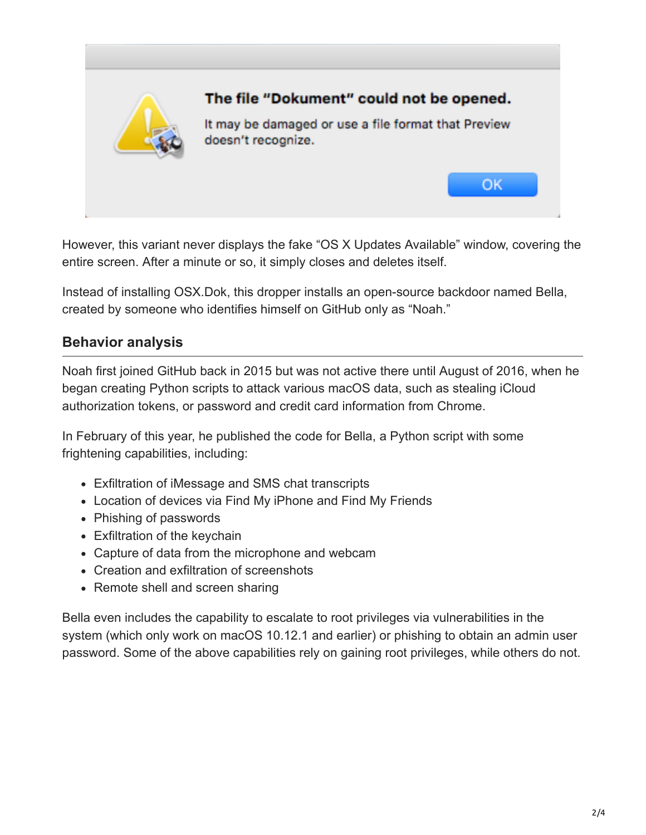

However, this variant never displays the fake "OS X Updates Available" window, covering the entire screen. After a minute or so, it simply closes and deletes itself.

Instead of installing OSX.Dok, this dropper installs an open-source backdoor named Bella, created by someone who identifies himself on GitHub only as "Noah."

## **Behavior analysis**

Noah first joined GitHub back in 2015 but was not active there until August of 2016, when he began creating Python scripts to attack various macOS data, such as stealing iCloud authorization tokens, or password and credit card information from Chrome.

In February of this year, he published the code for Bella, a Python script with some frightening capabilities, including:

- Exfiltration of iMessage and SMS chat transcripts
- Location of devices via Find My iPhone and Find My Friends
- Phishing of passwords
- Exfiltration of the keychain
- Capture of data from the microphone and webcam
- Creation and exfiltration of screenshots
- Remote shell and screen sharing

Bella even includes the capability to escalate to root privileges via vulnerabilities in the system (which only work on macOS 10.12.1 and earlier) or phishing to obtain an admin user password. Some of the above capabilities rely on gaining root privileges, while others do not.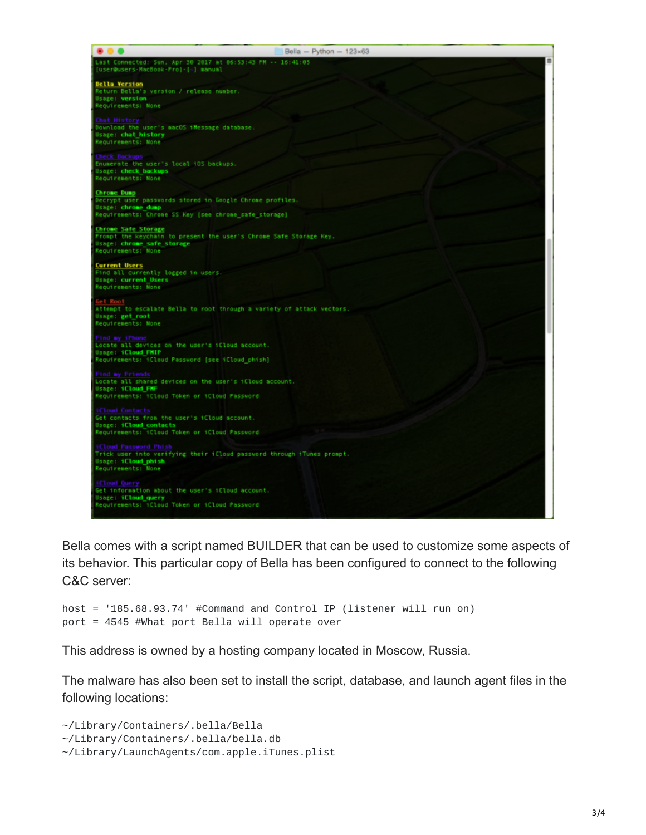| Bella - Python - $123 \times 63$                                                                                                                         |
|----------------------------------------------------------------------------------------------------------------------------------------------------------|
| Last Connected: Sun, Apr 30 2017 at 06:53:43 PM -- 16:41:05<br>(user@users-MacBook-Pro]-[~] manual                                                       |
| Bella Version<br>Return Bella's version / release number.<br>Usage: version<br>Requirements: None                                                        |
| hat History<br>Download the user's macOS iMessage database.<br>Usage: chat history<br>Requirements: None                                                 |
| <b>Check Backups</b><br>Enumerate the user's local iOS backups.<br>Usage: check backups<br>Requirements: None                                            |
| Chrome Dump<br>Decrypt user passwords stored in Google Chrome profiles.<br>Usage: chrome_dump<br>Requirements: Chrome SS Key (see chrome_safe_storage)   |
| <b>Chrome Safe Storage</b><br>Prompt the keychain to present the user's Chrome Safe Storage Key.<br>Usage: chrome safe storage<br>Requirements: None     |
| <b>Current Users</b><br>Find all currently logged in users.<br>Usage: current Users<br>Requirements: None                                                |
| Get Root<br>Attempt to escalate Bella to root through a variety of attack vectors.<br>Usage: get root<br>Requirements: None                              |
| ind my iPhone<br>locate all devices on the user's iCloud account.<br><b>Usage: iCloud FMIP</b><br>Requirements: iCloud Password [see iCloud_phish]       |
| <b>Find my Friends</b><br>Locate all shared devices on the user's ifloud account.<br>Usage: 1Cloud FMF<br>Reguirements: iCloud Token or iCloud Password  |
| <b>iCloud Contacts</b><br>Get contacts from the user's iCloud account.<br><b>Usage: 1Cloud contacts</b><br>Requirements: iCloud Token or iCloud Password |
| <b>Cloud Password Phish</b><br>Trick user into verifying their iCloud password through iTunes prompt.<br>Usage: iCloud phish<br>Requirements: None       |
| iCloud Query<br>Get information about the user's iCloud account.<br><b>Usage: iCloud query</b><br>Reguirements: iCloud Token or iCloud Password          |

Bella comes with a script named BUILDER that can be used to customize some aspects of its behavior. This particular copy of Bella has been configured to connect to the following C&C server:

```
host = '185.68.93.74' #Command and Control IP (listener will run on)
port = 4545 #What port Bella will operate over
```
This address is owned by a hosting company located in Moscow, Russia.

The malware has also been set to install the script, database, and launch agent files in the following locations:

```
~/Library/Containers/.bella/Bella
~/Library/Containers/.bella/bella.db
~/Library/LaunchAgents/com.apple.iTunes.plist
```